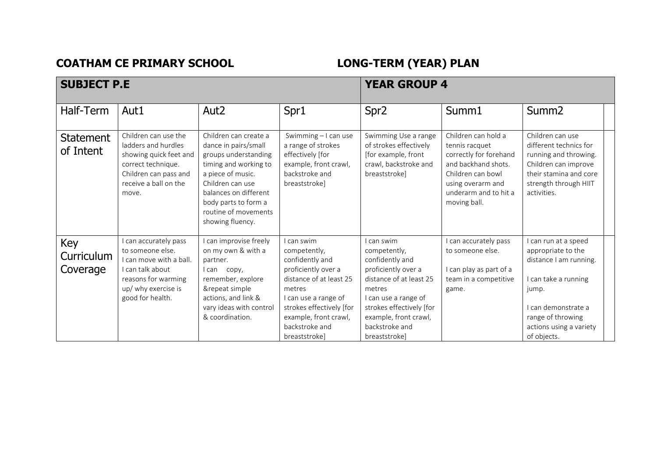## **COATHAM CE PRIMARY SCHOOL LONG-TERM (YEAR) PLAN**

| <b>SUBJECT P.E</b>            |                                                                                                                                                            |                                                                                                                                                                                                                                      | <b>YEAR GROUP 4</b>                                                                                                                                                                                                       |                                                                                                                                                                                                                           |                                                                                                                                                                           |                                                                                                                                                                                           |  |
|-------------------------------|------------------------------------------------------------------------------------------------------------------------------------------------------------|--------------------------------------------------------------------------------------------------------------------------------------------------------------------------------------------------------------------------------------|---------------------------------------------------------------------------------------------------------------------------------------------------------------------------------------------------------------------------|---------------------------------------------------------------------------------------------------------------------------------------------------------------------------------------------------------------------------|---------------------------------------------------------------------------------------------------------------------------------------------------------------------------|-------------------------------------------------------------------------------------------------------------------------------------------------------------------------------------------|--|
| Half-Term                     | Aut1                                                                                                                                                       | Aut <sub>2</sub>                                                                                                                                                                                                                     | Spr1                                                                                                                                                                                                                      | Spr <sub>2</sub>                                                                                                                                                                                                          | Summ1                                                                                                                                                                     | Summ <sub>2</sub>                                                                                                                                                                         |  |
| <b>Statement</b><br>of Intent | Children can use the<br>ladders and hurdles<br>showing quick feet and<br>correct technique.<br>Children can pass and<br>receive a ball on the<br>move.     | Children can create a<br>dance in pairs/small<br>groups understanding<br>timing and working to<br>a piece of music.<br>Children can use<br>balances on different<br>body parts to form a<br>routine of movements<br>showing fluency. | Swimming - I can use<br>a range of strokes<br>effectively [for<br>example, front crawl,<br>backstroke and<br>breaststrokel                                                                                                | Swimming Use a range<br>of strokes effectively<br>[for example, front<br>crawl, backstroke and<br>breaststroke]                                                                                                           | Children can hold a<br>tennis racquet<br>correctly for forehand<br>and backhand shots.<br>Children can bowl<br>using overarm and<br>underarm and to hit a<br>moving ball. | Children can use<br>different technics for<br>running and throwing.<br>Children can improve<br>their stamina and core<br>strength through HIIT<br>activities.                             |  |
| Key<br>Curriculum<br>Coverage | I can accurately pass<br>to someone else.<br>I can move with a ball.<br>I can talk about<br>reasons for warming<br>up/ why exercise is<br>good for health. | I can improvise freely<br>on my own & with a<br>partner.<br>I can copy,<br>remember, explore<br>&repeat simple<br>actions, and link &<br>vary ideas with control<br>& coordination.                                                  | I can swim<br>competently,<br>confidently and<br>proficiently over a<br>distance of at least 25<br>metres<br>I can use a range of<br>strokes effectively [for<br>example, front crawl,<br>backstroke and<br>breaststroke] | I can swim<br>competently,<br>confidently and<br>proficiently over a<br>distance of at least 25<br>metres<br>I can use a range of<br>strokes effectively [for<br>example, front crawl,<br>backstroke and<br>breaststroke] | can accurately pass<br>to someone else.<br>I can play as part of a<br>team in a competitive<br>game.                                                                      | can run at a speed<br>appropriate to the<br>distance I am running.<br>I can take a running<br>jump.<br>I can demonstrate a<br>range of throwing<br>actions using a variety<br>of objects. |  |